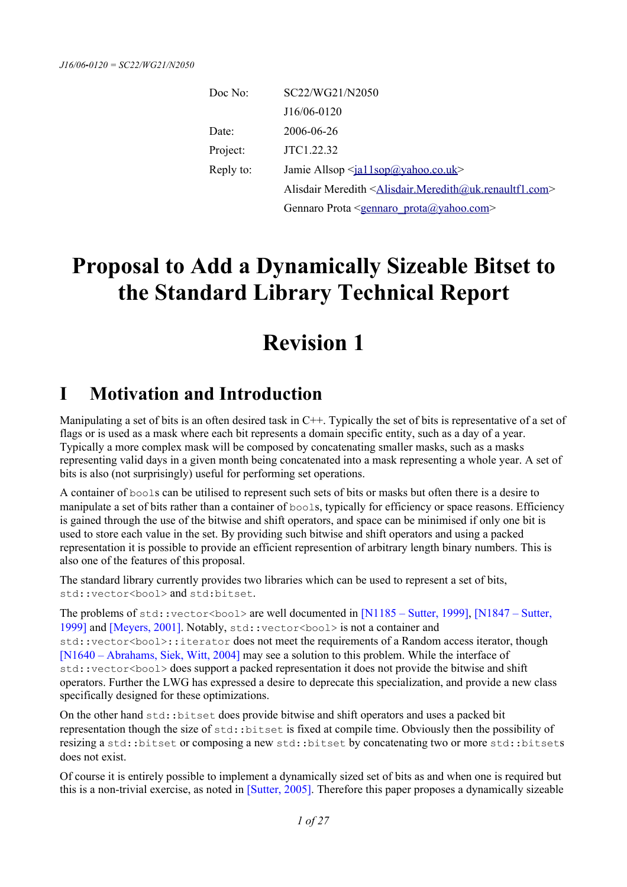| Doc No:   | SC22/WG21/N2050                                                                             |
|-----------|---------------------------------------------------------------------------------------------|
|           | J16/06-0120                                                                                 |
| Date:     | 2006-06-26                                                                                  |
| Project:  | JTC1.22.32                                                                                  |
| Reply to: | Jamie Allsop <ja11sop@yahoo.co.uk></ja11sop@yahoo.co.uk>                                    |
|           | Alisdair Meredith <alisdair.meredith@uk.renaultf1.com></alisdair.meredith@uk.renaultf1.com> |
|           | Gennaro Prota <gennaro prota@yahoo.com=""></gennaro>                                        |

# **Proposal to Add a Dynamically Sizeable Bitset to the Standard Library Technical Report**

# **Revision 1**

# **I Motivation and Introduction**

Manipulating a set of bits is an often desired task in C++. Typically the set of bits is representative of a set of flags or is used as a mask where each bit represents a domain specific entity, such as a day of a year. Typically a more complex mask will be composed by concatenating smaller masks, such as a masks representing valid days in a given month being concatenated into a mask representing a whole year. A set of bits is also (not surprisingly) useful for performing set operations.

A container of bools can be utilised to represent such sets of bits or masks but often there is a desire to manipulate a set of bits rather than a container of bools, typically for efficiency or space reasons. Efficiency is gained through the use of the bitwise and shift operators, and space can be minimised if only one bit is used to store each value in the set. By providing such bitwise and shift operators and using a packed representation it is possible to provide an efficient represention of arbitrary length binary numbers. This is also one of the features of this proposal.

The standard library currently provides two libraries which can be used to represent a set of bits, std::vector<bool> and std:bitset.

The problems of  $std:vector **book**$  are well documented in  $[N1185 - Sutter, 1999]$ ,  $[N1847 - Sutter, 1999]$ [1999\]](#page-26-4) and [\[Meyers, 2001\].](#page-26-3) Notably, std::vector<bool> is not a container and std::vector<bool>::iterator does not meet the requirements of a Random access iterator, though [\[N1640 – Abrahams, Siek, Witt, 2004\]](#page-26-2) may see a solution to this problem. While the interface of std::vector<bool> does support a packed representation it does not provide the bitwise and shift operators. Further the LWG has expressed a desire to deprecate this specialization, and provide a new class specifically designed for these optimizations.

On the other hand std::bitset does provide bitwise and shift operators and uses a packed bit representation though the size of std::bitset is fixed at compile time. Obviously then the possibility of resizing a std::bitset or composing a new std::bitset by concatenating two or more std::bitsets does not exist.

Of course it is entirely possible to implement a dynamically sized set of bits as and when one is required but this is a non-trivial exercise, as noted in [\[Sutter, 2005\].](#page-26-1) Therefore this paper proposes a dynamically sizeable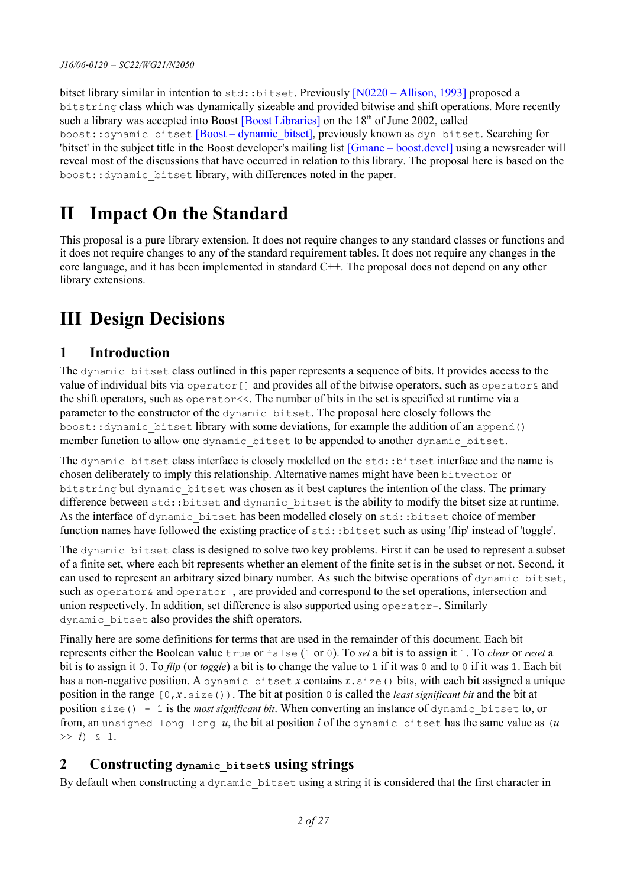bitset library similar in intention to std::bitset. Previously [\[N0220 – Allison, 1993\]](#page-26-5) proposed a bitstring class which was dynamically sizeable and provided bitwise and shift operations. More recently such a library was accepted into Boost [\[Boost Libraries\]](#page-25-2) on the 18<sup>th</sup> of June 2002, called boost::dynamic\_bitset [\[Boost – dynamic\\_bitset\],](#page-25-1) previously known as dyn\_bitset. Searching for 'bitset' in the subject title in the Boost developer's mailing list [\[Gmane – boost.devel\]](#page-25-0) using a newsreader will reveal most of the discussions that have occurred in relation to this library. The proposal here is based on the boost::dynamic\_bitset library, with differences noted in the paper.

# **II Impact On the Standard**

This proposal is a pure library extension. It does not require changes to any standard classes or functions and it does not require changes to any of the standard requirement tables. It does not require any changes in the core language, and it has been implemented in standard C++. The proposal does not depend on any other library extensions.

# **III Design Decisions**

## **1 Introduction**

The dynamic bitset class outlined in this paper represents a sequence of bits. It provides access to the value of individual bits via  $operator_{i}$  operator [] and provides all of the bitwise operators, such as  $operator_{i}$  and the shift operators, such as operator<<. The number of bits in the set is specified at runtime via a parameter to the constructor of the dynamic\_bitset. The proposal here closely follows the boost::dynamic\_bitset library with some deviations, for example the addition of an append() member function to allow one dynamic bitset to be appended to another dynamic bitset.

The dynamic bitset class interface is closely modelled on the std::bitset interface and the name is chosen deliberately to imply this relationship. Alternative names might have been bitvector or bitstring but dynamic bitset was chosen as it best captures the intention of the class. The primary difference between std::bitset and dynamic bitset is the ability to modify the bitset size at runtime. As the interface of dynamic bitset has been modelled closely on std::bitset choice of member function names have followed the existing practice of  $std$ : bitset such as using 'flip' instead of 'toggle'.

The dynamic bitset class is designed to solve two key problems. First it can be used to represent a subset of a finite set, where each bit represents whether an element of the finite set is in the subset or not. Second, it can used to represent an arbitrary sized binary number. As such the bitwise operations of dynamic\_bitset, such as operator  $\&$  and operator  $\vert$ , are provided and correspond to the set operations, intersection and union respectively. In addition, set difference is also supported using operator-. Similarly dynamic\_bitset also provides the shift operators.

Finally here are some definitions for terms that are used in the remainder of this document. Each bit represents either the Boolean value true or false (1 or 0). To *set* a bit is to assign it 1. To *clear* or *reset* a bit is to assign it 0. To *flip* (or *toggle*) a bit is to change the value to 1 if it was 0 and to 0 if it was 1. Each bit has a non-negative position. A dynamic bitset *x* contains  $x$ , size() bits, with each bit assigned a unique position in the range [0,*x*.size()). The bit at position 0 is called the *least significant bit* and the bit at position size() - 1 is the *most significant bit*. When converting an instance of dynamic\_bitset to, or from, an unsigned long long *u*, the bit at position *i* of the dynamic\_bitset has the same value as (*u*  $>>$  *i*) & 1.

## **2 Constructing dynamic\_bitsets using strings**

By default when constructing a dynamic\_bitset using a string it is considered that the first character in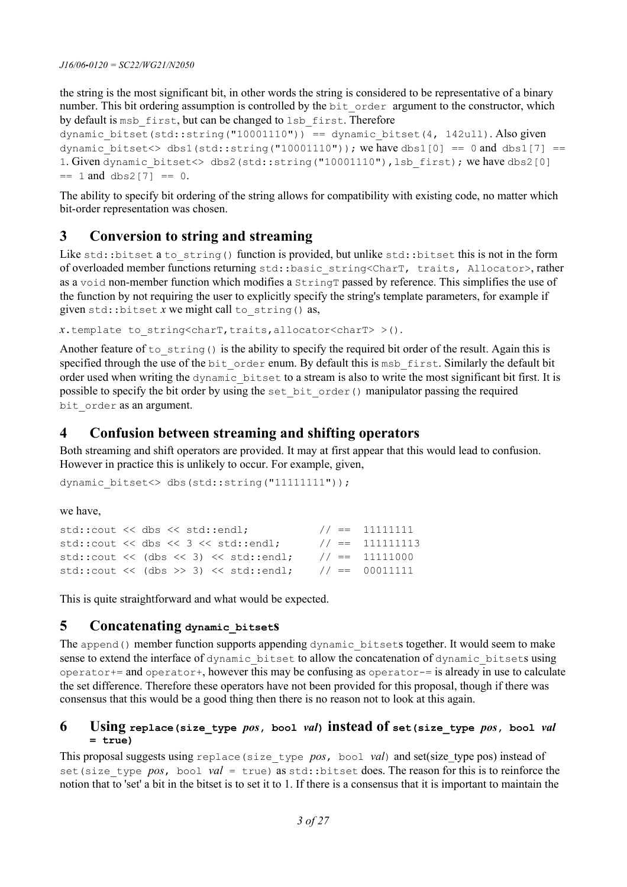the string is the most significant bit, in other words the string is considered to be representative of a binary number. This bit ordering assumption is controlled by the  $bit\$ order argument to the constructor, which by default is msb\_first, but can be changed to lsb\_first. Therefore

```
dynamic bitset(std::string("10001110")) == dynamic bitset(4, 142ull). Also given
dynamic bitset<> dbs1(std::string("10001110")); we have dbs1[0] == 0 and dbs1[7] ==
1. Given dynamic bitset<> dbs2(std::string("10001110"),lsb first); we have dbs2[0]
== 1 and dbs2[7] == 0.
```
The ability to specify bit ordering of the string allows for compatibility with existing code, no matter which bit-order representation was chosen.

## **3 Conversion to string and streaming**

Like std::bitset a to string() function is provided, but unlike std::bitset this is not in the form of overloaded member functions returning std::basic\_string<CharT, traits, Allocator>, rather as a void non-member function which modifies a StringT passed by reference. This simplifies the use of the function by not requiring the user to explicitly specify the string's template parameters, for example if given std::bitset  $\overline{x}$  we might call to string() as,

*x*.template to\_string<charT,traits,allocator<charT> >().

Another feature of to  $string()$  is the ability to specify the required bit order of the result. Again this is specified through the use of the bit order enum. By default this is msb first. Similarly the default bit order used when writing the dynamic\_bitset to a stream is also to write the most significant bit first. It is possible to specify the bit order by using the set\_bit\_order() manipulator passing the required bit order as an argument.

## **4 Confusion between streaming and shifting operators**

Both streaming and shift operators are provided. It may at first appear that this would lead to confusion. However in practice this is unlikely to occur. For example, given,

```
dynamic_bitset<> dbs(std::string("11111111"));
```
#### we have,

```
std::cout << dbs << std::endl; // == 11111111
std::cout << dbs << 3 << std::endl; // == 111111113std::cout << (dbs << 3) << std::endl; // == 11111000std::cout << (dbs >> 3) << std::endl; // == 00011111
```
This is quite straightforward and what would be expected.

### **5 Concatenating dynamic\_bitsets**

The append() member function supports appending dynamic bitsets together. It would seem to make sense to extend the interface of dynamic bitset to allow the concatenation of dynamic bitsets using operator+= and operator+, however this may be confusing as operator-= is already in use to calculate the set difference. Therefore these operators have not been provided for this proposal, though if there was consensus that this would be a good thing then there is no reason not to look at this again.

#### **6 Using replace(size\_type** *pos***, bool** *val***) instead of set(size\_type** *pos***, bool** *val* **= true)**

This proposal suggests using replace(size\_type *pos*, bool *val*) and set(size\_type pos) instead of set (size type *pos*, bool *val* = true) as std::bitset does. The reason for this is to reinforce the notion that to 'set' a bit in the bitset is to set it to 1. If there is a consensus that it is important to maintain the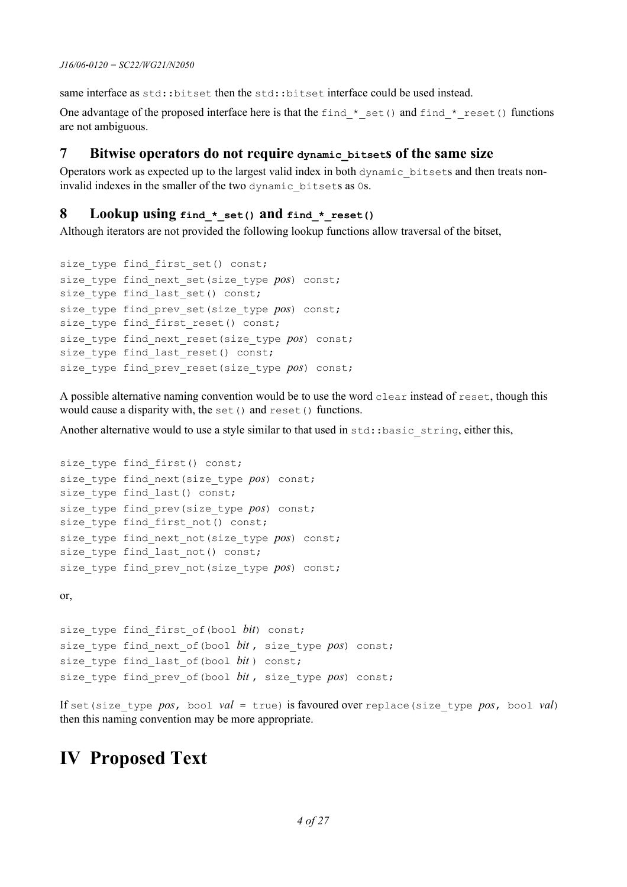same interface as std::bitset then the std::bitset interface could be used instead.

One advantage of the proposed interface here is that the find  $*$  set() and find  $*$  reset() functions are not ambiguous.

### **7 Bitwise operators do not require dynamic\_bitsets of the same size**

Operators work as expected up to the largest valid index in both dynamic\_bitsets and then treats noninvalid indexes in the smaller of the two dynamic\_bitsets as 0s.

### **8 Lookup using find\_\*\_set() and find\_\*\_reset()**

Although iterators are not provided the following lookup functions allow traversal of the bitset,

```
size type find first set() const;
size type find next set(size type pos) const;
size type find last set() const;
size type find prev set(size type pos) const;
size type find first reset() const;
size type find next reset(size type pos) const;
size type find last reset() const;
size type find prev reset(size_type pos) const;
```
A possible alternative naming convention would be to use the word clear instead of reset, though this would cause a disparity with, the set () and reset () functions.

Another alternative would to use a style similar to that used in std::basic\_string, either this,

```
size type find first() const;
size type find next(size type pos) const;
size type find last() const;
size type find prev(size type pos) const;
size type find first not() const;
size type find next not(size type pos) const;
size type find last not() const;
size type find prev not(size type pos) const;
```
or,

```
size type find first of(bool bit) const;
size type find next of(bool bit, size type pos) const;
size type find last of(bool bit) const;
size type find prev of(bool bit, size type pos) const;
```
If set (size type  $pos$ , bool  $val = true$ ) is favoured over replace (size type  $pos$ , bool *val*) then this naming convention may be more appropriate.

## **IV Proposed Text**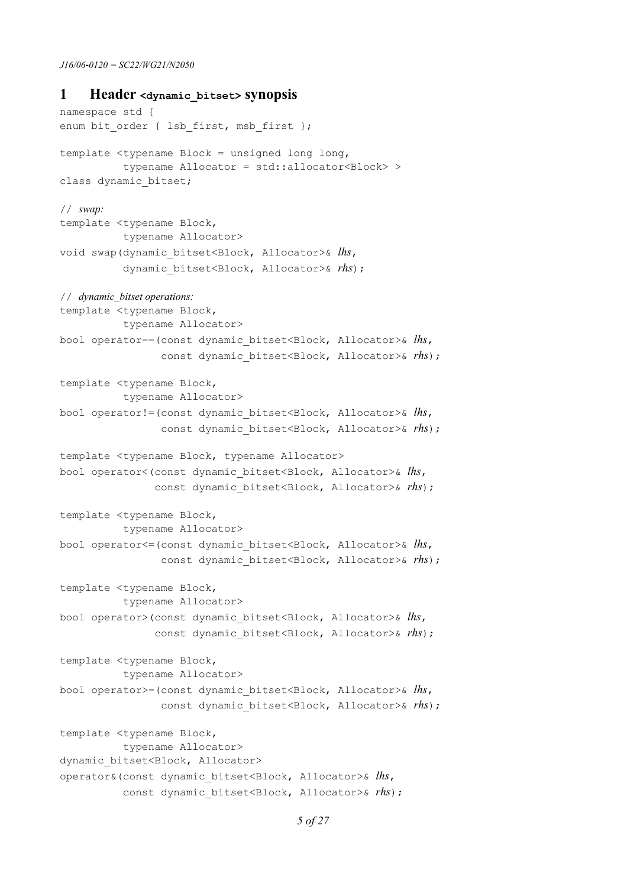#### **1 Header <dynamic\_bitset> synopsis**

```
namespace std {
enum bit order { lsb first, msb first };
template <typename Block = unsigned long long, 
           typename Allocator = std::allocator<Block> >
class dynamic_bitset;
// swap:
template <typename Block,
           typename Allocator>
void swap(dynamic_bitset<Block, Allocator>& lhs,
           dynamic_bitset<Block, Allocator>& rhs);
// dynamic_bitset operations:
template <typename Block, 
           typename Allocator>
bool operator==(const dynamic_bitset<Block, Allocator>& lhs,
                const dynamic bitset<Block, Allocator>& rhs;
template <typename Block, 
           typename Allocator>
bool operator!=(const dynamic_bitset<Block, Allocator>& lhs, 
                const dynamic bitset<Block, Allocator>& rhs;
template <typename Block, typename Allocator>
bool operator<(const dynamic_bitset<Block, Allocator>& lhs, 
               const dynamic bitset<Block, Allocator>& rhs);
template <typename Block, 
           typename Allocator>
bool operator<=(const dynamic_bitset<Block, Allocator>& lhs, 
                const dynamic bitset<Block, Allocator>& rhs);
template <typename Block, 
           typename Allocator>
bool operator>(const dynamic_bitset<Block, Allocator>& lhs, 
               const dynamic bitset<Block, Allocator>& rhs;
template <typename Block, 
           typename Allocator>
bool operator>=(const dynamic_bitset<Block, Allocator>& lhs, 
                const dynamic bitset<Block, Allocator>& rhs);
template <typename Block, 
           typename Allocator>
dynamic bitset<Block, Allocator>
operator&(const dynamic_bitset<Block, Allocator>& lhs, 
          const dynamic bitset<Block, Allocator>& rhs;
```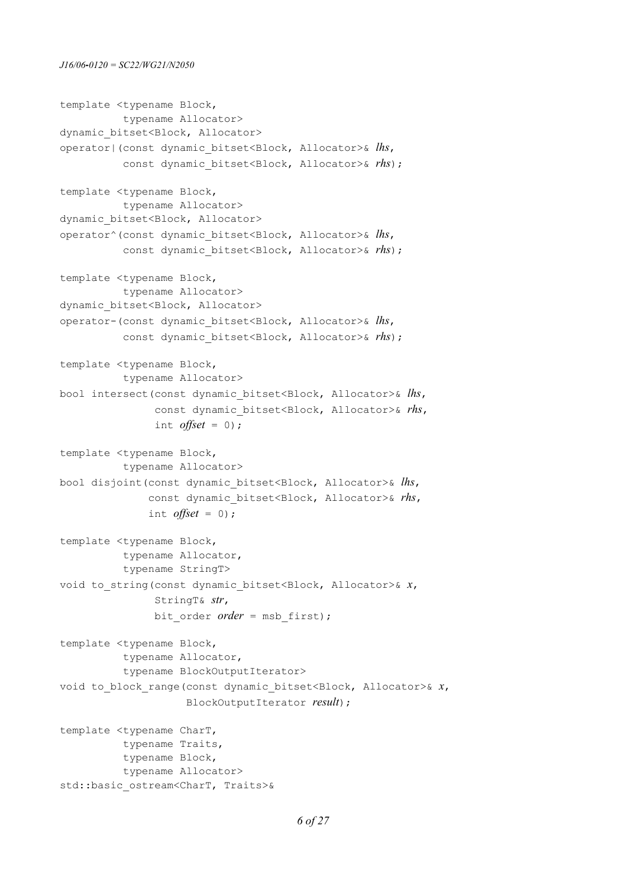```
template <typename Block, 
           typename Allocator>
dynamic bitset<Block, Allocator>
operator|(const dynamic_bitset<Block, Allocator>& lhs, 
          const dynamic bitset<Block, Allocator>& rhs);
template <typename Block, 
           typename Allocator>
dynamic bitset<Block, Allocator>
operator^(const dynamic_bitset<Block, Allocator>& lhs, 
          const dynamic bitset<Block, Allocator>& rhs;
template <typename Block, 
           typename Allocator>
dynamic bitset<Block, Allocator>
operator-(const dynamic_bitset<Block, Allocator>& lhs, 
          const dynamic bitset<Block, Allocator>& rhs);
template <typename Block, 
           typename Allocator>
bool intersect(const dynamic_bitset<Block, Allocator>& lhs, 
                 const dynamic_bitset<Block, Allocator>& rhs,
                 int offset = 0);
template <typename Block, 
           typename Allocator>
bool disjoint(const dynamic_bitset<Block, Allocator>& lhs, 
                const dynamic_bitset<Block, Allocator>& rhs,
               int offset = 0;
template <typename Block, 
           typename Allocator, 
           typename StringT>
void to_string(const dynamic_bitset<Block, Allocator>& x,
                 StringT& str,
               bit order order = msb first);
template <typename Block, 
           typename Allocator, 
           typename BlockOutputIterator>
void to_block_range(const dynamic_bitset<Block, Allocator>& x,
                      BlockOutputIterator result);
template <typename CharT, 
           typename Traits, 
           typename Block, 
           typename Allocator>
std::basic_ostream<CharT, Traits>&
```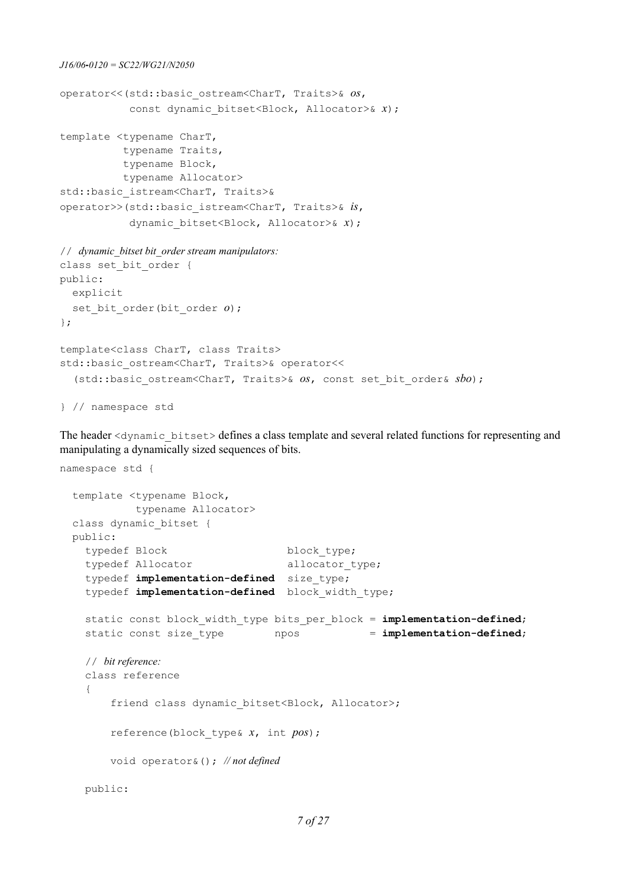```
J16/06‐0120 = SC22/WG21/N2050
operator<<(std::basic_ostream<CharT, Traits>& os, 
            const dynamic bitset<Block, Allocator>& x);
template <typename CharT, 
           typename Traits, 
           typename Block, 
           typename Allocator>
std::basic_istream<CharT, Traits>&
operator>>(std::basic_istream<CharT, Traits>& is, 
            dynamic bitset<Block, Allocator>& x);
// dynamic_bitset bit_order stream manipulators:
class set bit order {
public:
  explicit 
  set bit order(bit order o);
};
template<class CharT, class Traits>
std::basic_ostream<CharT, Traits>& operator<<
   (std::basic_ostream<CharT, Traits>& os, const set_bit_order& sbo);
} // namespace std
```
The header <dynamic\_bitset> defines a class template and several related functions for representing and manipulating a dynamically sized sequences of bits.

```
namespace std {
   template <typename Block, 
            typename Allocator>
  class dynamic_bitset {
  public:
   typedef Block block type;
   typedef Allocator allocator_type;
    typedef implementation-defined size_type;
    typedef implementation-defined block_width_type;
   static const block_width_type bits per block = implementation-defined;
   static const size_type npos = implementation-defined;
    // bit reference:
    class reference
     {
       friend class dynamic bitset<Block, Allocator>;
        reference(block_type& x, int pos);
        void operator&(); // not defined
    public:
```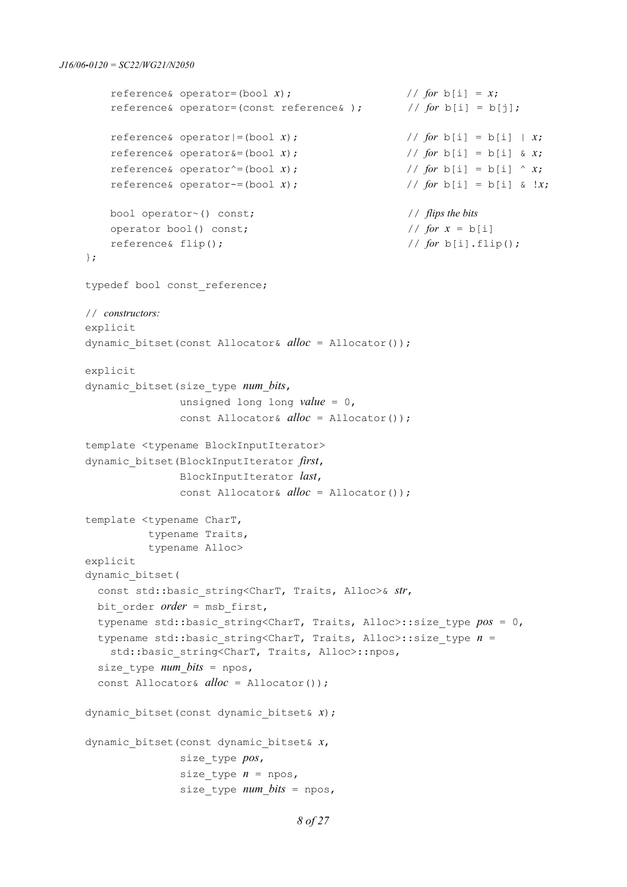```
reference& operator=(bool x); \frac{1}{2} / \frac{1}{2} for b[i] = x;
     reference& operator=(const reference& ); // for b[i] = b[j];
    reference & operator = (bool x); // for b[i] = b[i] | x;
    reference & operator & = (bool x); // for b[i] = b[i] & x;
    reference& operator<sup>\wedge</sup>=(bool x); // for b[i] = b[i] \wedge x;
    reference& operator-=(bool x); \frac{1}{2} / for b[i] = b[i] & !x;
    bool operator~() const; // flips the bits
   operator bool() const; \frac{1}{2} // for x = b[i]reference& flip(); \frac{1}{p} // for b[i].flip();
 };
typedef bool const reference;
 // constructors:
 explicit 
 dynamic_bitset(const Allocator& alloc = Allocator());
 explicit 
 dynamic_bitset(size_type num_bits, 
                unsigned long long value = 0,
                const Allocator& alloc = Allocator());
 template <typename BlockInputIterator>
 dynamic_bitset(BlockInputIterator first, 
                BlockInputIterator last,
                const Allocator& alloc = Allocator());
 template <typename CharT, 
          typename Traits, 
           typename Alloc>
 explicit
 dynamic_bitset(
  const std::basic string<CharT, Traits, Alloc>& str,
  bit order order = msb first,
   typename std::basic_string<CharT, Traits, Alloc>::size_type pos = 0,
  typename std::basic string<CharT, Traits, Alloc>::size type n =std::basic_string<CharT, Traits, Alloc>::npos,
  size type num bits = npos,
   const Allocator& alloc = Allocator());
 dynamic_bitset(const dynamic_bitset& x);
 dynamic_bitset(const dynamic_bitset& x,
                size_type pos,
               size type n = n npos,
               size type num bits = npos,
```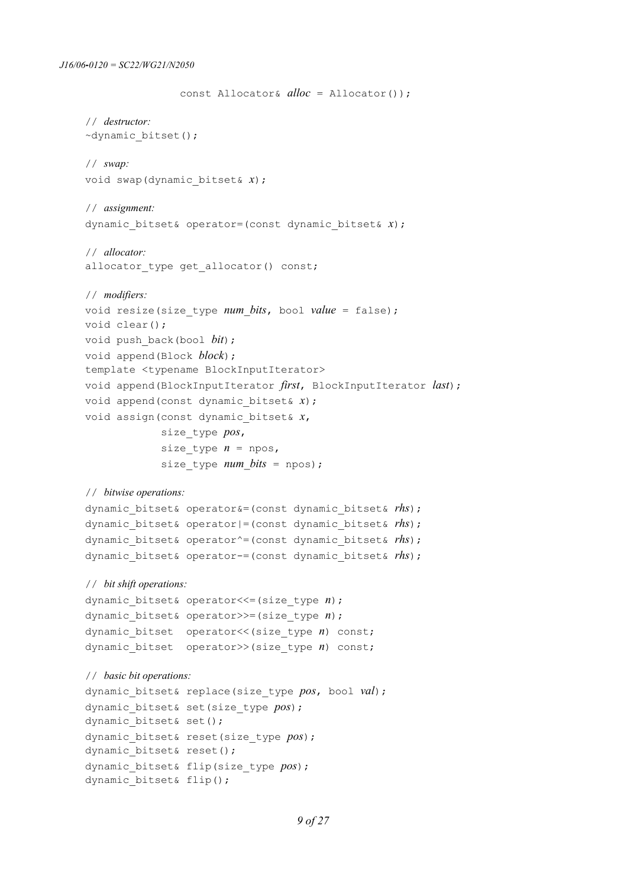```
 const Allocator& alloc = Allocator());
 // destructor:
 ~dynamic_bitset();
 // swap:
 void swap(dynamic_bitset& x);
 // assignment:
 dynamic_bitset& operator=(const dynamic_bitset& x);
 // allocator:
allocator type get allocator() const;
 // modifiers:
 void resize(size_type num_bits, bool value = false);
 void clear();
 void push_back(bool bit);
 void append(Block block);
 template <typename BlockInputIterator>
 void append(BlockInputIterator first, BlockInputIterator last);
 void append(const dynamic_bitset& x);
 void assign(const dynamic_bitset& x,
              size_type pos,
             size type n = npos,
             size type num bits = npos);
 // bitwise operations:
 dynamic_bitset& operator&=(const dynamic_bitset& rhs);
 dynamic_bitset& operator|=(const dynamic_bitset& rhs);
 dynamic_bitset& operator^=(const dynamic_bitset& rhs);
 dynamic_bitset& operator-=(const dynamic_bitset& rhs);
 // bit shift operations:
 dynamic_bitset& operator<<=(size_type n);
 dynamic_bitset& operator>>=(size_type n);
dynamic bitset operator<<(size type n) const;
 dynamic_bitset operator>>(size_type n) const;
 // basic bit operations:
 dynamic_bitset& replace(size_type pos, bool val);
 dynamic_bitset& set(size_type pos);
dynamic bitset& set();
 dynamic_bitset& reset(size_type pos);
dynamic bitset& reset();
 dynamic_bitset& flip(size_type pos);
dynamic bitset& flip();
```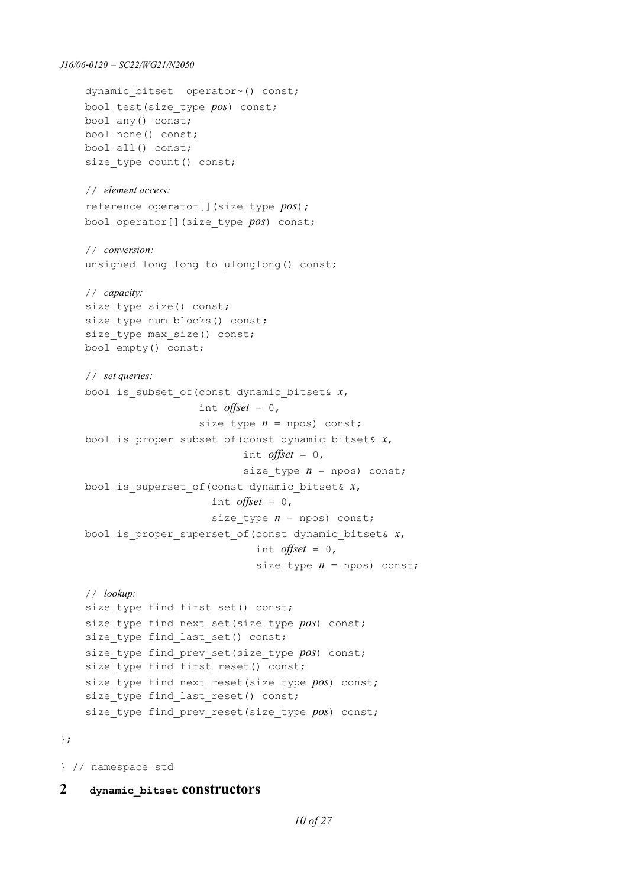```
J16/06‐0120 = SC22/WG21/N2050
    dynamic bitset operator~() const;
     bool test(size_type pos) const;
     bool any() const;
     bool none() const;
     bool all() const;
    size type count() const;
     // element access:
     reference operator[](size_type pos);
     bool operator[](size_type pos) const;
     // conversion:
    unsigned long long to ulonglong() const;
     // capacity:
    size type size() const;
    size type num blocks() const;
    size type max size() const;
     bool empty() const;
     // set queries:
     bool is_subset_of(const dynamic_bitset& x,
                       int offset = 0,
                       size type n = n pos) const;
     bool is_proper_subset_of(const dynamic_bitset& x,
                                int offset = 0,
                               size type n = npos const;
     bool is_superset_of(const dynamic_bitset& x,
                          int offset = 0,
                         size type n = npos) const;
     bool is_proper_superset_of(const dynamic_bitset& x,
                                  int offset = 0,
                                 size type n = npos) const;
     // lookup:
    size type find first set() const;
    size type find next set(size type pos) const;
    size type find last set() const;
    size type find prev set(size type pos) const;
    size type find first reset() const;
    size type find next reset(size type pos) const;
    size type find last reset() const;
    size type find prev reset(size type pos) const;
```
};

} // namespace std

#### **2 dynamic\_bitset constructors**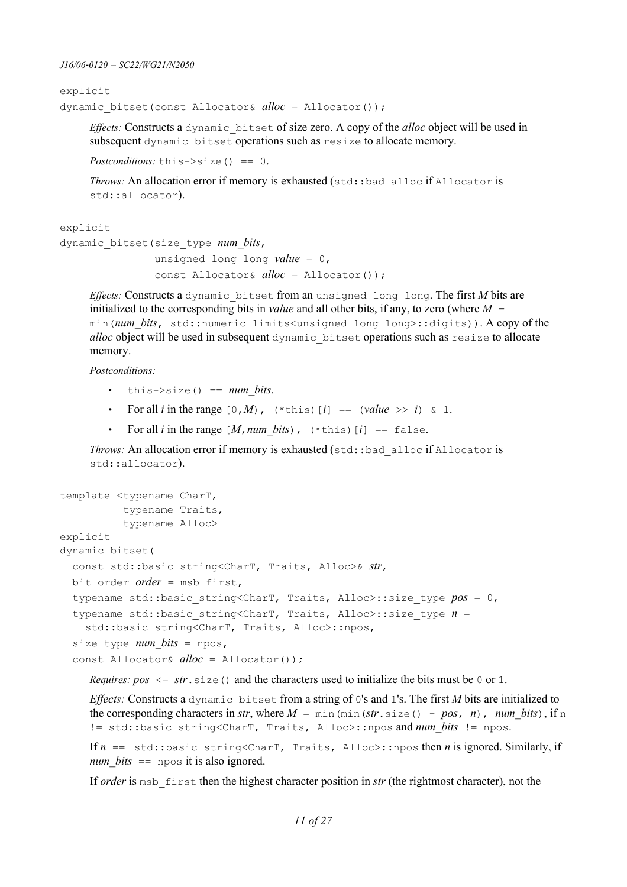```
explicit 
dynamic_bitset(const Allocator& alloc = Allocator());
```
*Effects:* Constructs a dynamic\_bitset of size zero. A copy of the *alloc* object will be used in subsequent dynamic bitset operations such as resize to allocate memory.

*Postconditions:* this->size() == 0.

*Throws:* An allocation error if memory is exhausted (std::bad\_alloc if Allocator is std::allocator).

explicit

```
dynamic_bitset(size_type num_bits,
```
 unsigned long long *value* = 0, const Allocator& *alloc* = Allocator());

*Effects:* Constructs a dynamic\_bitset from an unsigned long long. The first *M* bits are initialized to the corresponding bits in *value* and all other bits, if any, to zero (where  $M =$ min(*num\_bits*, std::numeric\_limits<unsigned long long>::digits)). A copy of the *alloc* object will be used in subsequent dynamic\_bitset operations such as resize to allocate memory.

*Postconditions:*

- $this \rightarrow size() == num bits.$
- For all *i* in the range  $[0, M)$ ,  $(*this)$   $[i] == (value \gg i) \& 1$ .
- For all *i* in the range  $[M, num\ bits)$ , (\*this)  $[i] == false$ .

*Throws:* An allocation error if memory is exhausted (std::bad\_alloc if Allocator is std::allocator).

```
template <typename CharT, 
           typename Traits, 
           typename Alloc>
explicit 
dynamic_bitset(
   const std::basic_string<CharT, Traits, Alloc>& str,
 bit order order = msb first,
   typename std::basic_string<CharT, Traits, Alloc>::size_type pos = 0,
  typename std::basic string<CharT, Traits, Alloc>::size type n =std::basic string<CharT, Traits, Alloc>::npos,
  size type num bits = npos,
   const Allocator& alloc = Allocator());
```
*Requires:*  $pos \leq str \cdot size()$  and the characters used to initialize the bits must be 0 or 1.

*Effects:* Constructs a dynamic bitset from a string of 0's and 1's. The first *M* bits are initialized to the corresponding characters in *str*, where  $M = \min(\min(\text{str.size}() - pos, n)$ , *num\_bits*), if n != std::basic\_string<CharT, Traits, Alloc>::npos and *num\_bits* != npos.

If  $n =$  std::basic string<CharT, Traits, Alloc>::npos then *n* is ignored. Similarly, if *num\_bits* == npos it is also ignored.

If *order* is msb\_first then the highest character position in *str* (the rightmost character), not the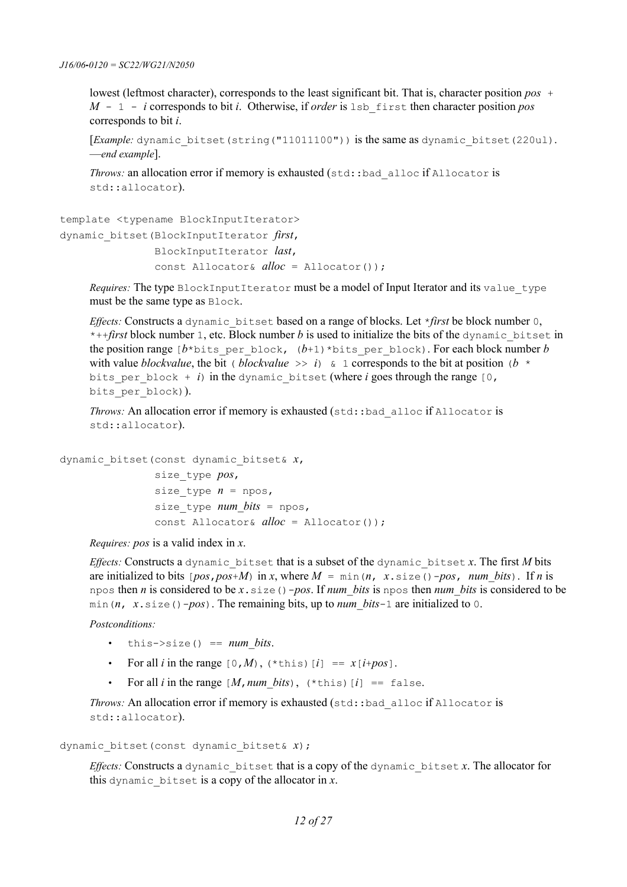lowest (leftmost character), corresponds to the least significant bit. That is, character position *pos* + *M* - 1 - *i* corresponds to bit *i*. Otherwise, if *order* is lsb\_first then character position *pos* corresponds to bit *i*.

[*Example:* dynamic\_bitset(string("11011100")) is the same as dynamic\_bitset(220ul). —*end example*].

*Throws:* an allocation error if memory is exhausted (std::bad\_alloc if Allocator is std::allocator).

```
template <typename BlockInputIterator>
dynamic_bitset(BlockInputIterator first, 
                 BlockInputIterator last,
                 const Allocator& alloc = Allocator());
```
*Requires:* The type BlockInputIterator must be a model of Input Iterator and its value type must be the same type as Block.

*Effects:* Constructs a dynamic bitset based on a range of blocks. Let \**first* be block number 0,  $*+$ *first* block number 1, etc. Block number *b* is used to initialize the bits of the dynamic bitset in the position range  $[b * \text{bits per block}, (b + 1) * \text{bits per block}$ . For each block number *b* with value *blockvalue*, the bit (*blockvalue*  $\gg i$ ) & 1 corresponds to the bit at position (*b* \* bits per block + *i*) in the dynamic bitset (where *i* goes through the range  $[0, 0]$ bits per block)).

*Throws:* An allocation error if memory is exhausted (std::bad\_alloc if Allocator is std::allocator).

dynamic\_bitset(const dynamic\_bitset& *x*, size\_type *pos*, size type  $n = npos$ , size type *num bits* = npos, const Allocator& *alloc* = Allocator());

*Requires: pos* is a valid index in *x*.

*Effects:* Constructs a dynamic bitset that is a subset of the dynamic bitset  $x$ . The first  $M$  bits are initialized to bits  $[pos, pos+M)$  in *x*, where  $M = min(n, x.size() - pos, num bits)$ . If *n* is npos then *n* is considered to be *x*.size()-*pos*. If *num\_bits* is npos then *num\_bits* is considered to be min(*n*, *x*.size()-*pos*). The remaining bits, up to *num\_bits*-1 are initialized to 0.

#### *Postconditions:*

- $this \rightarrow size() == num bits.$
- For all *i* in the range  $[0, M)$ ,  $(*$  this)  $[i] == x[i + pos]$ .
- For all *i* in the range  $[M, num\; bits)$ , (\*this)  $[i] == false$ .

*Throws:* An allocation error if memory is exhausted (std::bad\_alloc if Allocator is std::allocator).

dynamic\_bitset(const dynamic\_bitset& *x*);

*Effects:* Constructs a dynamic bitset that is a copy of the dynamic bitset  $x$ . The allocator for this dynamic bitset is a copy of the allocator in  $x$ .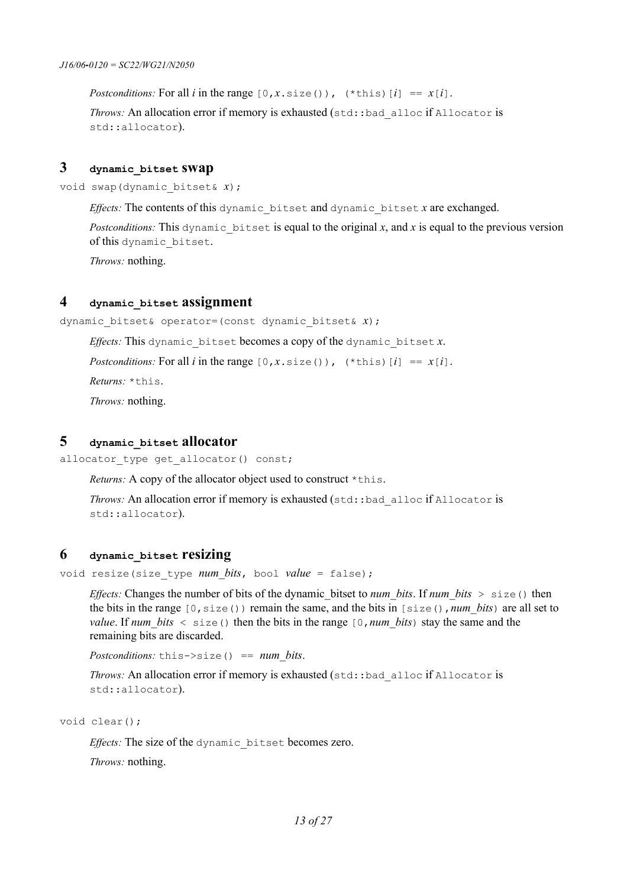*Postconditions:* For all *i* in the range  $[0, x \text{ is } z \in (x)$ ,  $(*this)$   $[i] == x[i]$ .

*Throws:* An allocation error if memory is exhausted (std::bad\_alloc if Allocator is std::allocator).

## **3 dynamic\_bitset swap**

void swap(dynamic\_bitset& *x*);

*Effects:* The contents of this dynamic\_bitset and dynamic\_bitset *x* are exchanged.

*Postconditions:* This dynamic bitset is equal to the original x, and x is equal to the previous version of this dynamic\_bitset.

*Throws:* nothing.

### **4 dynamic\_bitset assignment**

dynamic\_bitset& operator=(const dynamic\_bitset& *x*);

*Effects:* This dynamic bitset becomes a copy of the dynamic bitset  $x$ .

*Postconditions:* For all *i* in the range  $[0, x \text{ is } (x)$ ,  $(*this)$   $[i] == x[i]$ .

*Returns:* \*this.

*Throws:* nothing.

### **5 dynamic\_bitset allocator**

allocator type get allocator() const;

*Returns:* A copy of the allocator object used to construct \*this.

*Throws:* An allocation error if memory is exhausted (std::bad alloc if Allocator is std::allocator).

#### **6 dynamic\_bitset resizing**

void resize(size\_type *num\_bits*, bool *value* = false);

*Effects:* Changes the number of bits of the dynamic bitset to *num\_bits*. If *num\_bits* > size() then the bits in the range [0,size()) remain the same, and the bits in [size(),*num\_bits*) are all set to *value*. If *num* bits  $\leq$  size() then the bits in the range [0,*num\_bits*) stay the same and the remaining bits are discarded.

*Postconditions:* this->size() == *num\_bits*.

*Throws:* An allocation error if memory is exhausted (std::bad\_alloc if Allocator is std::allocator).

void clear();

*Effects:* The size of the dynamic\_bitset becomes zero.

*Throws:* nothing.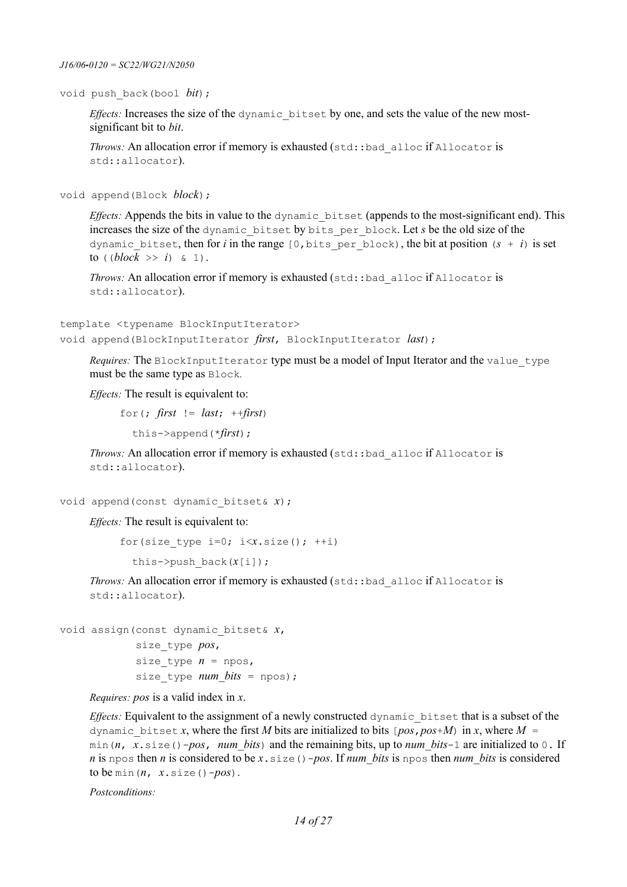void push\_back(bool *bit*);

*Effects:* Increases the size of the dynamic\_bitset by one, and sets the value of the new mostsignificant bit to *bit*.

*Throws:* An allocation error if memory is exhausted (std::bad\_alloc if Allocator is std::allocator).

void append(Block *block*);

*Effects:* Appends the bits in value to the dynamic bitset (appends to the most-significant end). This increases the size of the dynamic\_bitset by bits\_per\_block. Let *s* be the old size of the dynamic bitset, then for *i* in the range  $[0, \text{bits per block})$ , the bit at position  $(s + i)$  is set to  $((block \gg i) \& 1).$ 

*Throws:* An allocation error if memory is exhausted (std::bad alloc if Allocator is std::allocator).

```
template <typename BlockInputIterator>
void append(BlockInputIterator first, BlockInputIterator last);
```
Requires: The BlockInputIterator type must be a model of Input Iterator and the value type must be the same type as Block*.*

*Effects:* The result is equivalent to:

for(;  $first$  !=  $last;$  ++ $first$ )

this->append(\**first*);

*Throws:* An allocation error if memory is exhausted (std::bad\_alloc if Allocator is std::allocator).

void append(const dynamic\_bitset& *x*);

*Effects:* The result is equivalent to:

```
for(size type i=0; i\leq x.size(); ++i)
```

```
 this->push_back(x[i]);
```
*Throws:* An allocation error if memory is exhausted (std::bad\_alloc if Allocator is std::allocator).

void assign(const dynamic\_bitset& *x*,

 size\_type *pos*, size type  $n = npos$ , size type *num bits* = npos);

*Requires: pos* is a valid index in *x*.

*Effects:* Equivalent to the assignment of a newly constructed dynamic\_bitset that is a subset of the dynamic bitset *x*, where the first *M* bits are initialized to bits  $[pos, pos+M]$  in *x*, where  $M =$ min(*n*,  $x \cdot \text{size}(x) - pos$ , *num* bits) and the remaining bits, up to *num\_bits*-1 are initialized to 0. If *n* is npos then *n* is considered to be *x*.size()-*pos*. If *num\_bits* is npos then *num\_bits* is considered to be min( $n, x.size() - pos$ ).

*Postconditions:*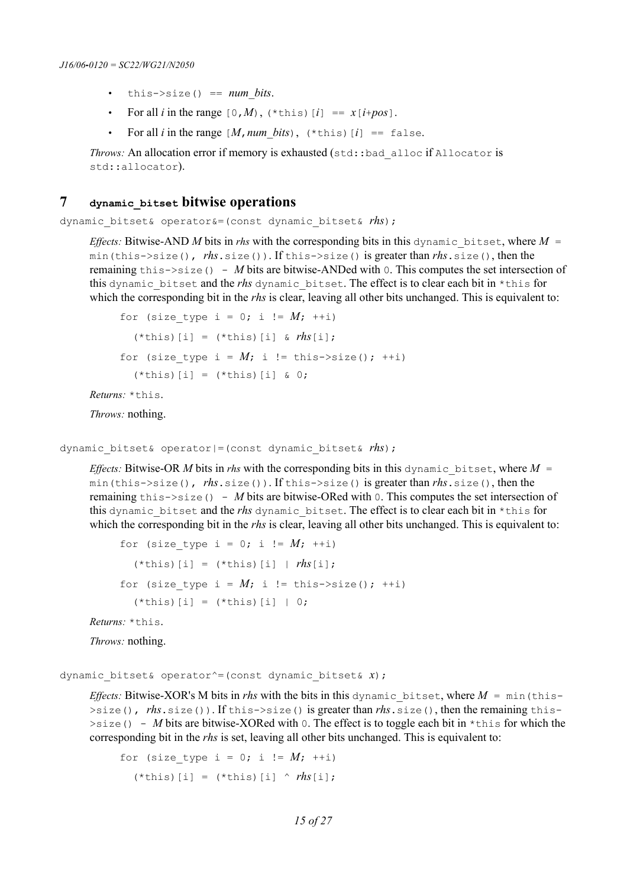- $this \rightarrow size() == num bits.$
- For all *i* in the range  $[0, M)$ ,  $(*this)$   $[i] == x[i+pos]$ .
- For all *i* in the range  $[M, num\; bits)$ ,  $(*this)$   $[i] == false$ .

*Throws:* An allocation error if memory is exhausted (std::bad\_alloc if Allocator is std::allocator).

## **7 dynamic\_bitset bitwise operations**

dynamic\_bitset& operator&=(const dynamic\_bitset& *rhs*);

*Effects:* Bitwise-AND *M* bits in *rhs* with the corresponding bits in this dynamic bitset, where  $M =$ min(this->size(), *rhs*.size()). If this->size() is greater than *rhs*.size(), then the remaining this->size() - *M* bits are bitwise-ANDed with 0. This computes the set intersection of this dynamic\_bitset and the *rhs* dynamic\_bitset. The effect is to clear each bit in \*this for which the corresponding bit in the *rhs* is clear, leaving all other bits unchanged. This is equivalent to:

```
for (size type i = 0; i != M; ++i)
  (*this)[i] = (*this)[i] & rhs[i];
for (size type i = M; i != this->size(); ++i)
  (*this) [i] = (*this) [i] & 0;
```
*Returns:* \*this.

*Throws:* nothing.

```
dynamic_bitset& operator|=(const dynamic_bitset& rhs);
```
*Effects:* Bitwise-OR *M* bits in *rhs* with the corresponding bits in this dynamic bitset, where  $M =$ min(this->size(), *rhs*.size()). If this->size() is greater than *rhs*.size(), then the remaining this->size() - *M* bits are bitwise-ORed with 0. This computes the set intersection of this dynamic bitset and the *rhs* dynamic bitset. The effect is to clear each bit in \*this for which the corresponding bit in the *rhs* is clear, leaving all other bits unchanged. This is equivalent to:

```
for (size type i = 0; i != M; ++i)
  (*this)[i] = (*this)[i] | rhs[i];
for (size type i = M; i != this->size(); ++i)
  (*this) [i] = (*this) [i] | 0;
```
*Returns:* \*this.

*Throws:* nothing.

dynamic\_bitset& operator^=(const dynamic\_bitset& *x*);

*Effects:* Bitwise-XOR's M bits in *rhs* with the bits in this dynamic bitset, where  $M = min$  (this->size(), *rhs*.size()). If this->size() is greater than *rhs*.size(), then the remaining this-  $>$ size() - *M* bits are bitwise-XORed with 0. The effect is to toggle each bit in \*this for which the corresponding bit in the *rhs* is set, leaving all other bits unchanged. This is equivalent to:

for (size type i = 0; i !=  $M$ ; ++i)  $(*this)$  [i] =  $(*this)$  [i] ^  $rhs$ [i];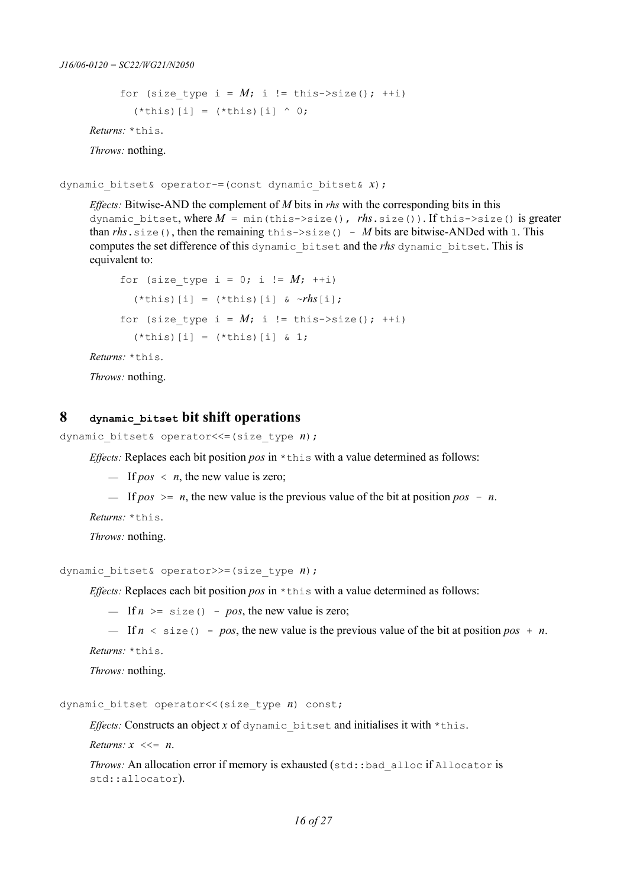```
for (size type i = M; i != this->size(); ++i)
  (*this)[i] = (*this)[i] ^ 0;
```
*Returns:* \*this.

*Throws:* nothing.

dynamic\_bitset& operator-=(const dynamic\_bitset& *x*);

*Effects:* Bitwise-AND the complement of *M* bits in *rhs* with the corresponding bits in this dynamic\_bitset, where *M* = min(this->size(), *rhs*.size()). If this->size() is greater than  $rhs$ , size(), then the remaining this- $\ge$ size() - *M* bits are bitwise-ANDed with 1. This computes the set difference of this dynamic\_bitset and the *rhs* dynamic\_bitset. This is equivalent to:

```
for (size type i = 0; i != M; ++i)
  (*this)[i] = (*this)[i] & ~rhs[i];
for (size type i = M; i != this->size(); ++i)
  (\starthis)[i] = (\starthis)[i] & 1;
```
*Returns:* \*this.

*Throws:* nothing.

### **8 dynamic\_bitset bit shift operations**

dynamic\_bitset& operator<<=(size\_type *n*);

*Effects:* Replaces each bit position *pos* in \*this with a value determined as follows:

 $-$  If *pos*  $\langle n, \text{ the new value is zero};$ 

 $\equiv$  If *pos*  $\ge$  *n*, the new value is the previous value of the bit at position *pos – n*.

*Returns:* \*this.

*Throws:* nothing.

dynamic\_bitset& operator>>=(size\_type *n*);

*Effects:* Replaces each bit position *pos* in \*this with a value determined as follows:

 $-$  If  $n \geq$  size() - pos, the new value is zero;

 $-$  If  $n \leq$  size() - *pos*, the new value is the previous value of the bit at position *pos* + *n*.

*Returns:* \*this.

*Throws:* nothing.

dynamic bitset operator<<(size\_type *n*) const;

*Effects:* Constructs an object *x* of dynamic bitset and initialises it with  $*$ this.

*Returns:*  $x \leq 2$  *n.* 

*Throws:* An allocation error if memory is exhausted (std::bad\_alloc if Allocator is std::allocator).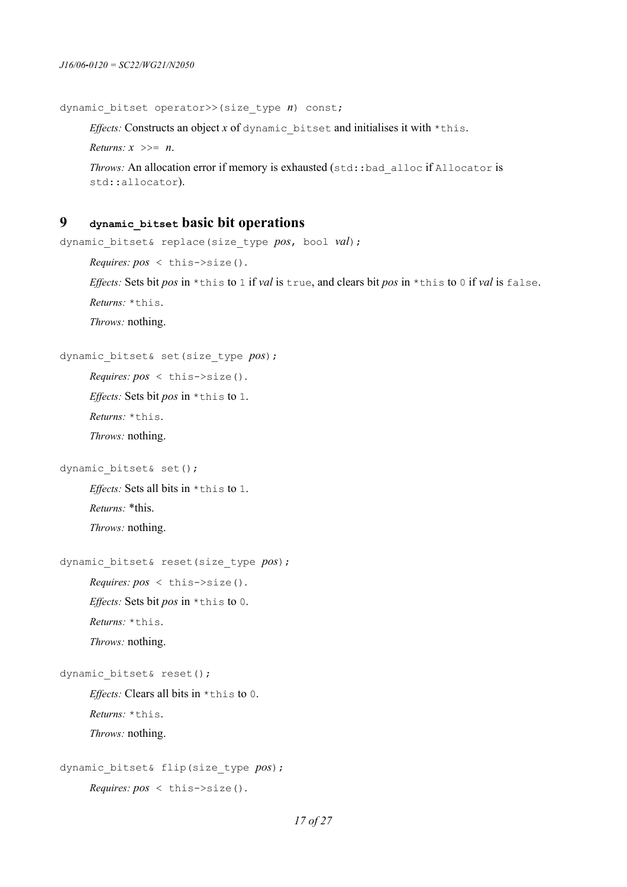```
dynamic_bitset operator>>(size_type n) const;
```
*Effects:* Constructs an object  $x$  of dynamic bitset and initialises it with  $*$ this.

*Returns: x* >>= *n*.

```
Throws: An allocation error if memory is exhausted (std::bad_alloc if Allocator is
std::allocator).
```
#### **9 dynamic\_bitset basic bit operations**

```
dynamic_bitset& replace(size_type pos, bool val);
```
*Effects:* Sets bit *pos* in \*this to 1 if *val* is true, and clears bit *pos* in \*this to 0 if *val* is false.

*Returns:* \*this.

*Throws:* nothing.

```
dynamic_bitset& set(size_type pos);
```

```
Requires: pos < this->size().
```
*Effects:* Sets bit *pos* in \*this to 1.

*Returns:* \*this.

*Throws:* nothing.

```
dynamic bitset& set();
```
*Effects:* Sets all bits in \*this to 1. *Returns:* \*this.

*Throws:* nothing.

```
dynamic_bitset& reset(size_type pos);
```
*Effects:* Sets bit *pos* in \*this to 0.

*Returns:* \*this.

*Throws:* nothing.

dynamic bitset& reset();

*Effects:* Clears all bits in \*this to 0. *Returns:* \*this.

*Throws:* nothing.

```
dynamic_bitset& flip(size_type pos);
     Requires: pos < this->size().
```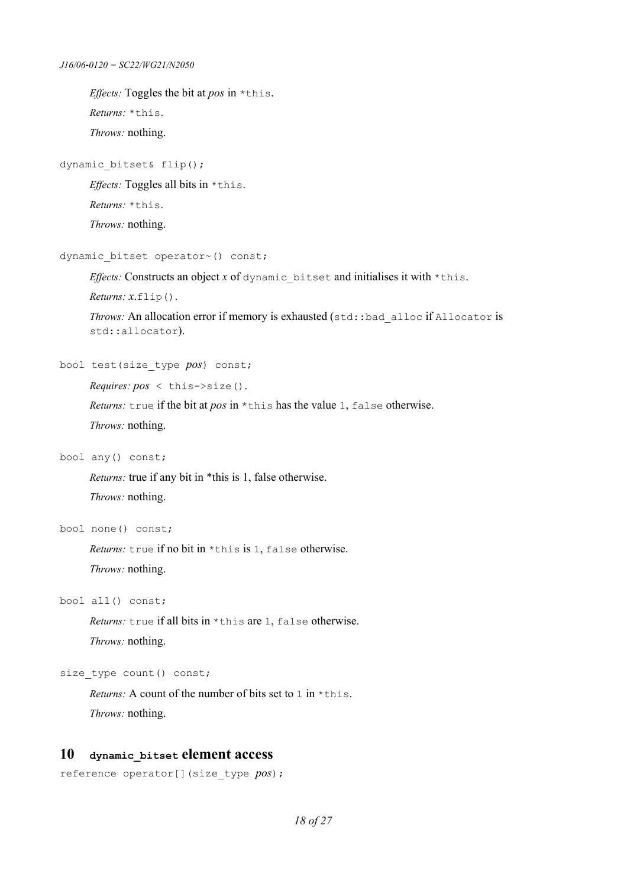```
J16/06‐0120 = SC22/WG21/N2050
```

```
Effects: Toggles the bit at pos in *this. 
Returns: *this.
Throws: nothing.
```
#### dynamic bitset& flip();

*Effects:* Toggles all bits in \*this.

*Returns:* \*this.

*Throws:* nothing.

```
dynamic bitset operator~() const;
```
*Effects:* Constructs an object *x* of dynamic bitset and initialises it with \*this.

*Returns: x*.flip().

```
Throws: An allocation error if memory is exhausted (std::bad_alloc if Allocator is
std::allocator).
```
bool test(size\_type *pos*) const;

*Requires: pos* < this->size().

*Returns:* true if the bit at *pos* in \*this has the value 1, false otherwise.

*Throws:* nothing.

bool any() const;

*Returns:* true if any bit in \*this is 1, false otherwise. *Throws:* nothing.

bool none() const;

*Returns:* true if no bit in \*this is 1, false otherwise. *Throws:* nothing.

bool all() const;

*Returns:* true if all bits in \*this are 1, false otherwise. *Throws:* nothing.

size type count() const;

*Returns:* A count of the number of bits set to 1 in \*this. *Throws:* nothing.

#### **10 dynamic\_bitset element access**

```
reference operator[](size_type pos);
```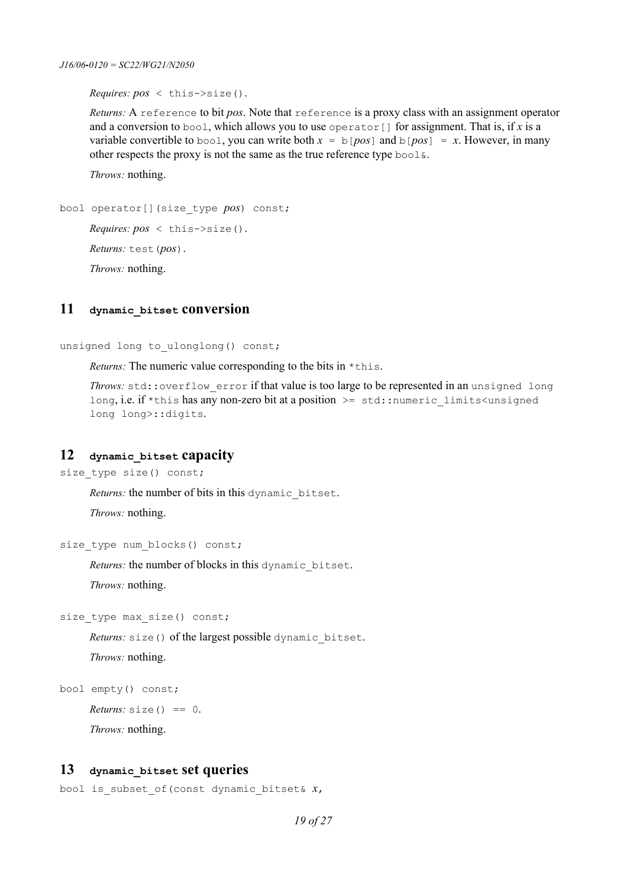*Requires: pos* < this->size().

*Returns:* A reference to bit *pos*. Note that reference is a proxy class with an assignment operator and a conversion to bool, which allows you to use operator[] for assignment. That is, if *x* is a variable convertible to bool, you can write both  $x = b[pos]$  and  $b[pos] = x$ . However, in many other respects the proxy is not the same as the true reference type bool&.

*Throws:* nothing.

```
bool operator[](size_type pos) const;
     Requires: pos < this->size().
     Returns: test(pos).
     Throws: nothing.
```
## **11 dynamic\_bitset conversion**

unsigned long to ulonglong() const;

*Returns:* The numeric value corresponding to the bits in  $*$ this.

*Throws:* std:: overflow error if that value is too large to be represented in an unsigned long long, i.e. if \*this has any non-zero bit at a position >= std:: numeric\_limits<unsigned long long>::digits.

### **12 dynamic\_bitset capacity**

```
size type size() const;
```
*Returns:* the number of bits in this dynamic\_bitset.

*Throws:* nothing.

```
size_type num_blocks() const;
```
*Returns:* the number of blocks in this dynamic\_bitset.

*Throws:* nothing.

size type max size() const;

*Returns:* size() of the largest possible dynamic bitset.

*Throws:* nothing.

```
bool empty() const;
```
*Returns:*  $size() == 0$ .

*Throws:* nothing.

#### **13 dynamic\_bitset set queries**

```
bool is_subset_of(const dynamic_bitset& x,
```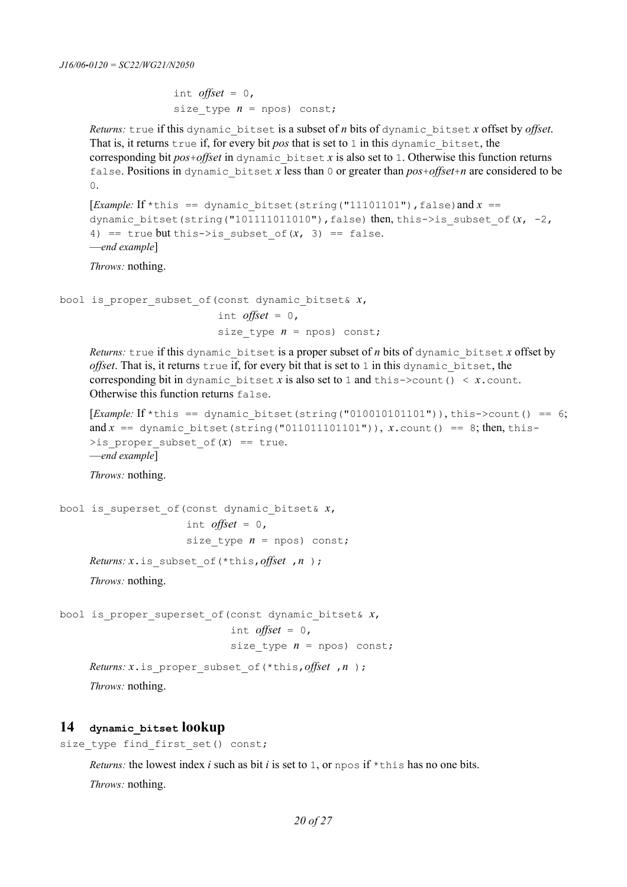```
int offset = 0,
size type n = npos) const;
```
*Returns:* true if this dynamic\_bitset is a subset of *n* bits of dynamic\_bitset *x* offset by *offset*. That is, it returns true if, for every bit *pos* that is set to 1 in this dynamic bitset, the corresponding bit *pos*+*offset* in dynamic\_bitset *x* is also set to 1. Otherwise this function returns false. Positions in dynamic\_bitset *x* less than 0 or greater than *pos*+*offset*+*n* are considered to be 0.

```
[Example: If *this == dynamic bitset(string("11101101"),false)and x ==
dynamic bitset(string("101111011010"),false) then, this->is subset of(x, -2,
4) == true but this->is subset of(x, 3) == false.
—end example]
```
*Throws:* nothing.

```
bool is_proper_subset_of(const dynamic_bitset& x,
                          int offset = 0,
                          size type n = n npos) const;
```
*Returns:* true if this dynamic bitset is a proper subset of *n* bits of dynamic bitset *x* offset by *offset*. That is, it returns true if, for every bit that is set to 1 in this dynamic\_bitset, the corresponding bit in dynamic bitset *x* is also set to 1 and this->count()  $\langle x.\text{count}\rangle$ . Otherwise this function returns false.

```
[Example: If *this == dynamic bitset(string("010010101101")), this->count() == 6;
and x = dynamic bitset(string("011011101101")), x.count() == 8; then, this-
>is proper subset of (x) == true.
—end example]
```
*Throws:* nothing.

```
bool is_superset_of(const dynamic_bitset& x,
                     int offset = 0,
                     size type n = npos const;
     Returns: x.is_subset_of(*this,offset ,n );
     Throws: nothing. 
bool is_proper_superset_of(const dynamic_bitset& x,
```
int *offset* =  $0$ , size type  $n = n$  npos) const;

```
Returns: x.is_proper_subset_of(*this,offset ,n );
Throws: nothing.
```
#### **14 dynamic\_bitset lookup**

```
size type find first set() const;
```
*Returns:* the lowest index *i* such as bit *i* is set to 1, or npos if \*this has no one bits. *Throws:* nothing.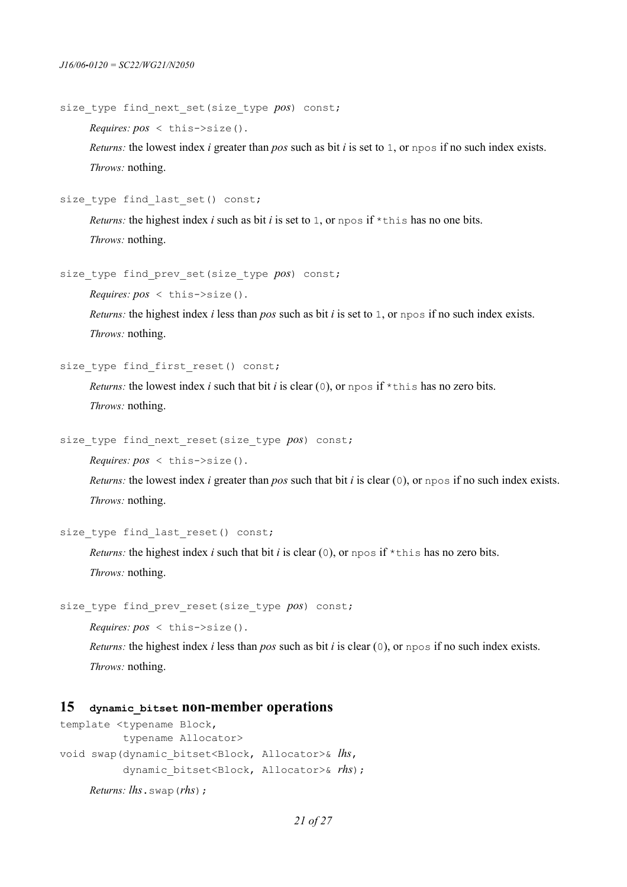```
size type find next set(size type pos) const;
```
*Requires: pos* < this->size().

*Returns:* the lowest index *i* greater than *pos* such as bit *i* is set to 1, or npos if no such index exists. *Throws:* nothing.

size\_type find\_last\_set() const;

*Returns:* the highest index *i* such as bit *i* is set to 1, or npos if \*this has no one bits. *Throws:* nothing.

```
size type find prev set(size type pos) const;
```
*Requires: pos* < this->size().

*Returns:* the highest index *i* less than *pos* such as bit *i* is set to 1, or npos if no such index exists. *Throws:* nothing.

```
size type find first reset() const;
```
*Returns:* the lowest index *i* such that bit *i* is clear (0), or npos if  $\star$ this has no zero bits. *Throws:* nothing.

```
size type find next reset(size type pos) const;
```
*Requires: pos* < this->size().

*Returns:* the lowest index *i* greater than *pos* such that bit *i* is clear (0), or npos if no such index exists. *Throws:* nothing.

```
size type find last reset() const;
```
*Returns:* the highest index *i* such that bit *i* is clear (0), or npos if  $*$ this has no zero bits. *Throws:* nothing.

```
size type find prev reset(size type pos) const;
```
*Requires: pos* < this->size().

*Returns:* the highest index *i* less than *pos* such as bit *i* is clear (0), or npos if no such index exists. *Throws:* nothing.

#### **15 dynamic\_bitset non-member operations**

```
template <typename Block,
           typename Allocator>
void swap(dynamic_bitset<Block, Allocator>& lhs,
           dynamic_bitset<Block, Allocator>& rhs);
     Returns: lhs.swap(rhs);
```

```
21 of 27
```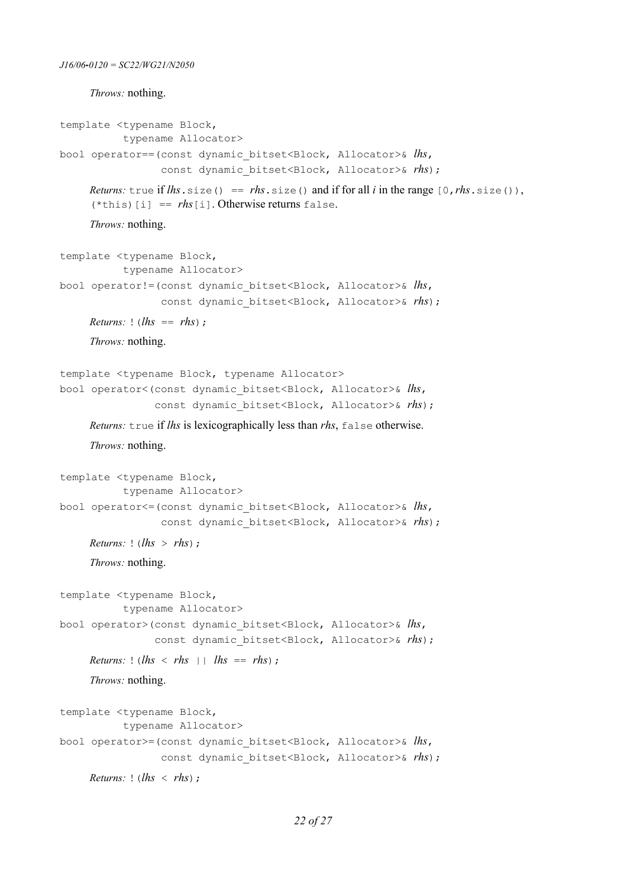*Throws:* nothing.

```
template <typename Block, 
            typename Allocator>
bool operator==(const dynamic_bitset<Block, Allocator>& lhs,
                  const dynamic bitset<Block, Allocator>& rhs;
     Returns: true if lhs, size() == rhs, size() and if for all i in the range [0, rhs], size()),
     (*this)[i] == rhs[i]. Otherwise returns false.
     Throws: nothing.
template <typename Block, 
            typename Allocator>
bool operator!=(const dynamic_bitset<Block, Allocator>& lhs, 
                  const dynamic bitset<Block, Allocator>& rhs;
     Returns: ! (lhs == rhs);
     Throws: nothing.
template <typename Block, typename Allocator>
bool operator<(const dynamic_bitset<Block, Allocator>& lhs, 
                const dynamic bitset<Block, Allocator>& rhs);
     Returns: true if lhs is lexicographically less than rhs, false otherwise.
     Throws: nothing.
template <typename Block, 
            typename Allocator>
bool operator<=(const dynamic_bitset<Block, Allocator>& lhs, 
                  const dynamic bitset<Block, Allocator>& rhs;
     Returns: | (lhs > rhs);
     Throws: nothing.
template <typename Block, 
            typename Allocator>
bool operator>(const dynamic_bitset<Block, Allocator>& lhs, 
                const dynamic bitset<Block, Allocator>& rhs;
     Returns: ! (lhs < rhs | | lhs == rhs);
     Throws: nothing.
template <typename Block, 
            typename Allocator>
bool operator>=(const dynamic_bitset<Block, Allocator>& lhs, 
                  const dynamic bitset<Block, Allocator>& rhs;
     Returns: | (lhs < rhs) ;
```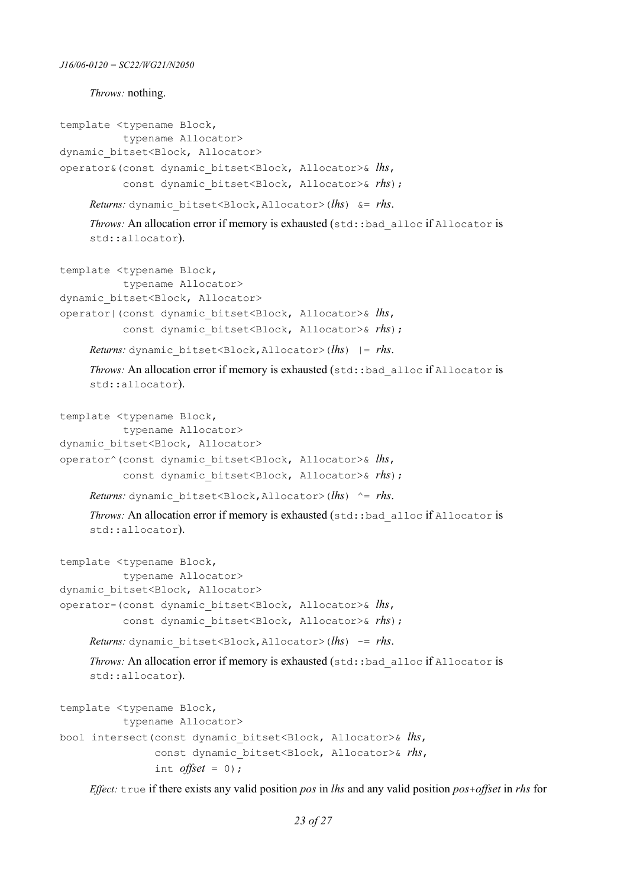*Throws:* nothing.

```
template <typename Block, 
           typename Allocator>
dynamic bitset<Block, Allocator>
operator&(const dynamic_bitset<Block, Allocator>& lhs, 
           const dynamic bitset<Block, Allocator>& rhs;
     Returns: dynamic_bitset<Block,Allocator>(lhs) &= rhs.
     Throws: An allocation error if memory is exhausted (std::bad_alloc if Allocator is
     std::allocator).
template <typename Block, 
            typename Allocator>
dynamic bitset<Block, Allocator>
operator|(const dynamic_bitset<Block, Allocator>& lhs, 
           const dynamic bitset<Block, Allocator>& rhs;
     Returns: dynamic_bitset<Block,Allocator>(lhs) |= rhs.
     Throws: An allocation error if memory is exhausted (std::bad alloc if Allocator is
     std::allocator).
template <typename Block, 
            typename Allocator>
dynamic bitset<Block, Allocator>
operator^(const dynamic_bitset<Block, Allocator>& lhs, 
           const dynamic bitset<Block, Allocator>& rhs);
     Returns: dynamic_bitset<Block,Allocator>(lhs) ^= rhs.
     Throws: An allocation error if memory is exhausted (std::bad_alloc if Allocator is
     std::allocator).
template <typename Block, 
           typename Allocator>
dynamic bitset<Block, Allocator>
operator-(const dynamic_bitset<Block, Allocator>& lhs, 
           const dynamic bitset<Block, Allocator>& rhs);
     Returns: dynamic_bitset<Block,Allocator>(lhs) -= rhs.
     Throws: An allocation error if memory is exhausted (std::bad alloc if Allocator is
     std::allocator).
template <typename Block, 
           typename Allocator>
bool intersect(const dynamic_bitset<Block, Allocator>& lhs, 
                 const dynamic_bitset<Block, Allocator>& rhs,
                int offset = 0;
```
*Effect:* true if there exists any valid position *pos* in *lhs* and any valid position *pos*+*offset* in *rhs* for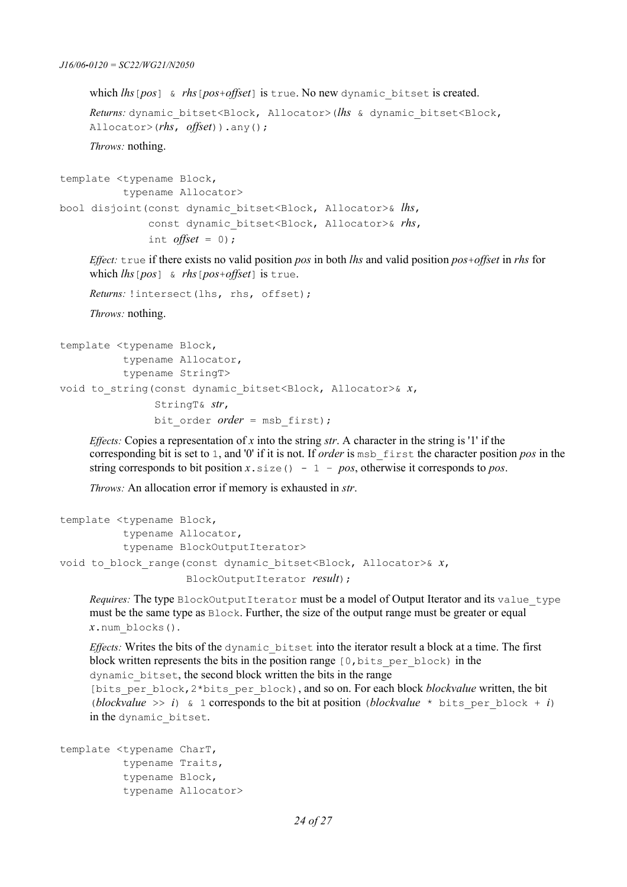which *lhs*[*pos*] & *rhs*[*pos*+*offset*] is true. No new dynamic\_bitset is created.

*Returns:* dynamic\_bitset<Block, Allocator>(*lhs* & dynamic\_bitset<Block, Allocator>(*rhs*, *offset*)).any();

*Throws:* nothing.

```
template <typename Block, 
           typename Allocator>
bool disjoint(const dynamic_bitset<Block, Allocator>& lhs, 
                const dynamic_bitset<Block, Allocator>& rhs,
               int offset = 0);
```
*Effect:* true if there exists no valid position *pos* in both *lhs* and valid position *pos*+*offset* in *rhs* for which *lhs*[*pos*] & *rhs*[*pos*+*offset*] is true.

*Returns:* !intersect(lhs, rhs, offset);

*Throws:* nothing.

```
template <typename Block, 
           typename Allocator, 
           typename StringT>
void to_string(const dynamic_bitset<Block, Allocator>& x,
                 StringT& str,
                bit order order = msb first);
```
*Effects:* Copies a representation of *x* into the string *str*. A character in the string is '1' if the corresponding bit is set to 1, and '0' if it is not. If *order* is msb\_first the character position *pos* in the string corresponds to bit position  $x \cdot \text{size}() - 1 - pos$ , otherwise it corresponds to *pos*.

*Throws:* An allocation error if memory is exhausted in *str*.

```
template <typename Block, 
           typename Allocator, 
           typename BlockOutputIterator>
void to_block_range(const dynamic_bitset<Block, Allocator>& x,
                      BlockOutputIterator result);
```
*Requires:* The type BlockOutputIterator must be a model of Output Iterator and its value type must be the same type as Block. Further, the size of the output range must be greater or equal *x*.num\_blocks().

*Effects:* Writes the bits of the dynamic\_bitset into the iterator result a block at a time. The first block written represents the bits in the position range [0, bits per block) in the dynamic\_bitset, the second block written the bits in the range

[bits\_per\_block,2\*bits\_per\_block), and so on. For each block *blockvalue* written, the bit (*blockvalue* >> *i*) & 1 corresponds to the bit at position (*blockvalue* \* bits per block + *i*) in the dynamic bitset.

```
template <typename CharT, 
           typename Traits, 
           typename Block, 
            typename Allocator>
```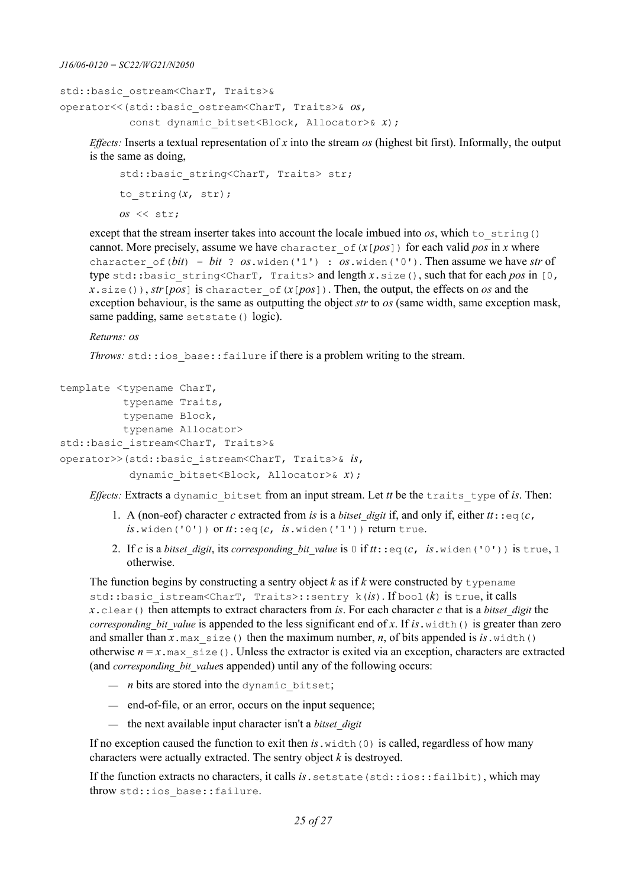```
J16/06‐0120 = SC22/WG21/N2050
```

```
std::basic_ostream<CharT, Traits>&
operator<<(std::basic_ostream<CharT, Traits>& os, 
           const dynamic bitset<Block, Allocator>& x);
```
*Effects:* Inserts a textual representation of *x* into the stream *os* (highest bit first). Informally, the output is the same as doing,

```
std::basic string<CharT, Traits> str;
to_string(x, str);
os << str;
```
except that the stream inserter takes into account the locale imbued into  $\sigma s$ , which to string() cannot. More precisely, assume we have character of  $(x$ [ $pos$ ]) for each valid  $pos$  in *x* where character of ( $bit$ ) =  $bit$  ?  $os$ .widen('1') :  $os$ .widen('0'). Then assume we have *str* of type std::basic\_string<CharT, Traits> and length *x*.size(), such that for each *pos* in [0,  $x \cdot \text{size}(x)$ , *str*[*pos*] is character of( $x$ [*pos*]). Then, the output, the effects on *os* and the exception behaviour, is the same as outputting the object *str* to *os* (same width, same exception mask, same padding, same setstate() logic).

*Returns: os*

*Throws:* std::ios base::failure if there is a problem writing to the stream.

```
template <typename CharT, 
           typename Traits, 
           typename Block, 
           typename Allocator>
std::basic_istream<CharT, Traits>&
operator>>(std::basic_istream<CharT, Traits>& is, 
            dynamic_bitset<Block, Allocator>& x);
```
*Effects:* Extracts a dynamic bitset from an input stream. Let *tt* be the traits type of *is*. Then:

- 1. A (non-eof) character *c* extracted from *is* is a *bitset digit* if, and only if, either  $tt: e q(c, t)$  $is$ .widen('0')) or  $tt$ ::eq( $c$ ,  $is$ .widen('1')) return true.
- 2. If *c* is a *bitset digit*, its *corresponding bit value* is 0 if  $tt$ ::eq(*c*, *is*.widen('0')) is true, 1 otherwise.

The function begins by constructing a sentry object  $k$  as if  $k$  were constructed by typename std::basic\_istream<CharT, Traits>::sentry k(*is*). If bool(*k*) is true, it calls *x*.clear() then attempts to extract characters from *is*. For each character *c* that is a *bitset\_digit* the *corresponding bit value* is appended to the less significant end of *x*. If *is*.width() is greater than zero and smaller than  $x \cdot max$  size() then the maximum number, *n*, of bits appended is *is*.width() otherwise  $n = x$ , max size(). Unless the extractor is exited via an exception, characters are extracted (and *corresponding bit values* appended) until any of the following occurs:

- $-$  *n* bits are stored into the dynamic bitset;
- end-of-file, or an error, occurs on the input sequence;
- the next available input character isn't a *bitset\_digit*

If no exception caused the function to exit then  $is$ . width(0) is called, regardless of how many characters were actually extracted. The sentry object *k* is destroyed.

If the function extracts no characters, it calls *is*. set state (std::ios::failbit), which may throw std::ios base::failure.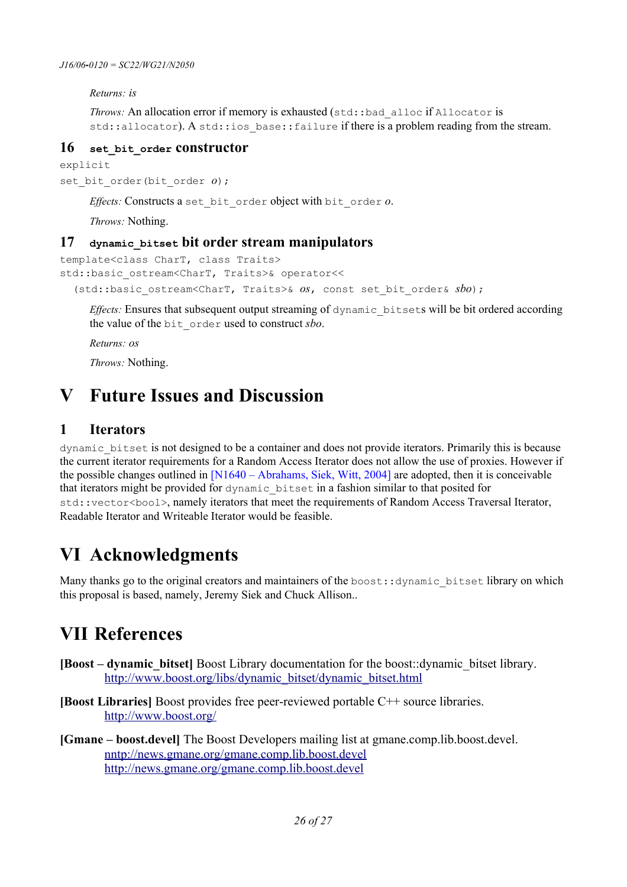*Returns: is*

```
Throws: An allocation error if memory is exhausted (std::bad_alloc if Allocator is
std::allocator). A std::ios base::failure if there is a problem reading from the stream.
```
### **16 set\_bit\_order constructor**

explicit set bit order(bit order *o*);

*Effects:* Constructs a set\_bit\_order object with bit\_order *o*.

*Throws:* Nothing.

### **17 dynamic\_bitset bit order stream manipulators**

```
template<class CharT, class Traits>
std::basic_ostream<CharT, Traits>& operator<<
   (std::basic_ostream<CharT, Traits>& os, const set_bit_order& sbo);
```
*Effects:* Ensures that subsequent output streaming of dynamic bitsets will be bit ordered according the value of the bit\_order used to construct *sbo*.

*Returns: os*

*Throws:* Nothing.

## **V Future Issues and Discussion**

### **1 Iterators**

dynamic\_bitset is not designed to be a container and does not provide iterators. Primarily this is because the current iterator requirements for a Random Access Iterator does not allow the use of proxies. However if the possible changes outlined in [\[N1640 – Abrahams, Siek, Witt, 2004\]](#page-26-2) are adopted, then it is conceivable that iterators might be provided for dynamic\_bitset in a fashion similar to that posited for std::vector<bool>, namely iterators that meet the requirements of Random Access Traversal Iterator, Readable Iterator and Writeable Iterator would be feasible.

## **VI Acknowledgments**

Many thanks go to the original creators and maintainers of the boost:: dynamic\_bitset library on which this proposal is based, namely, Jeremy Siek and Chuck Allison..

## **VII References**

- <span id="page-25-1"></span>**[Boost – dynamic\_bitset]** Boost Library documentation for the boost::dynamic\_bitset library. [http://www.boost.org/libs/dynamic\\_bitset/dynamic\\_bitset.html](http://www.boost.org/libs/dynamic_bitset/dynamic_bitset.html)
- <span id="page-25-2"></span>**[Boost Libraries]** Boost provides free peer-reviewed portable C++ source libraries. <http://www.boost.org/>
- <span id="page-25-0"></span>**[Gmane – boost.devel]** The Boost Developers mailing list at gmane.comp.lib.boost.devel. nntp://news.gmane.org/gmane.comp.lib.boost.devel http://news.gmane.org/gmane.comp.lib.boost.devel